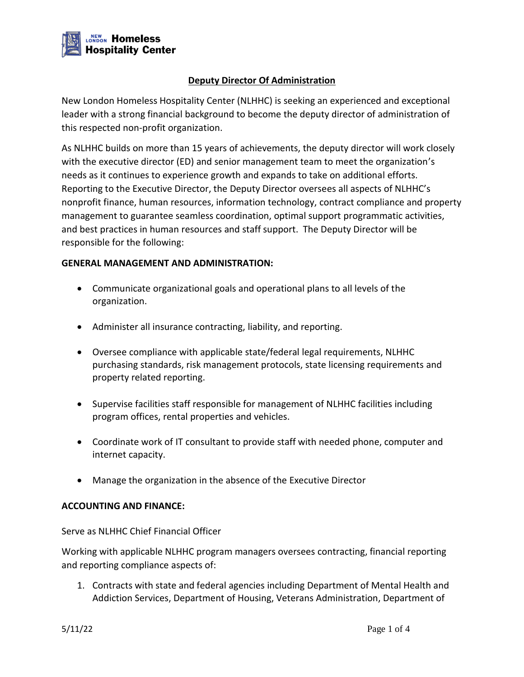

# **Deputy Director Of Administration**

New London Homeless Hospitality Center (NLHHC) is seeking an experienced and exceptional leader with a strong financial background to become the deputy director of administration of this respected non-profit organization.

As NLHHC builds on more than 15 years of achievements, the deputy director will work closely with the executive director (ED) and senior management team to meet the organization's needs as it continues to experience growth and expands to take on additional efforts. Reporting to the Executive Director, the Deputy Director oversees all aspects of NLHHC's nonprofit finance, human resources, information technology, contract compliance and property management to guarantee seamless coordination, optimal support programmatic activities, and best practices in human resources and staff support. The Deputy Director will be responsible for the following:

## **GENERAL MANAGEMENT AND ADMINISTRATION:**

- Communicate organizational goals and operational plans to all levels of the organization.
- Administer all insurance contracting, liability, and reporting.
- Oversee compliance with applicable state/federal legal requirements, NLHHC purchasing standards, risk management protocols, state licensing requirements and property related reporting.
- Supervise facilities staff responsible for management of NLHHC facilities including program offices, rental properties and vehicles.
- Coordinate work of IT consultant to provide staff with needed phone, computer and internet capacity.
- Manage the organization in the absence of the Executive Director

## **ACCOUNTING AND FINANCE:**

Serve as NLHHC Chief Financial Officer

Working with applicable NLHHC program managers oversees contracting, financial reporting and reporting compliance aspects of:

1. Contracts with state and federal agencies including Department of Mental Health and Addiction Services, Department of Housing, Veterans Administration, Department of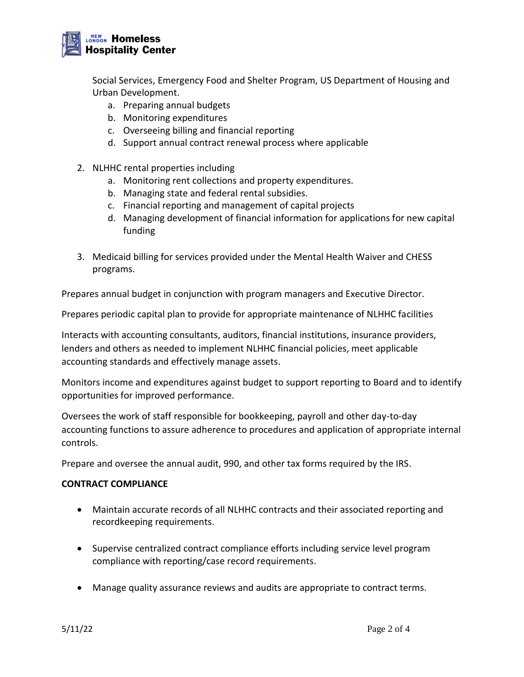

Social Services, Emergency Food and Shelter Program, US Department of Housing and Urban Development.

- a. Preparing annual budgets
- b. Monitoring expenditures
- c. Overseeing billing and financial reporting
- d. Support annual contract renewal process where applicable
- 2. NLHHC rental properties including
	- a. Monitoring rent collections and property expenditures.
	- b. Managing state and federal rental subsidies.
	- c. Financial reporting and management of capital projects
	- d. Managing development of financial information for applications for new capital funding
- 3. Medicaid billing for services provided under the Mental Health Waiver and CHESS programs.

Prepares annual budget in conjunction with program managers and Executive Director.

Prepares periodic capital plan to provide for appropriate maintenance of NLHHC facilities

Interacts with accounting consultants, auditors, financial institutions, insurance providers, lenders and others as needed to implement NLHHC financial policies, meet applicable accounting standards and effectively manage assets.

Monitors income and expenditures against budget to support reporting to Board and to identify opportunities for improved performance.

Oversees the work of staff responsible for bookkeeping, payroll and other day-to-day accounting functions to assure adherence to procedures and application of appropriate internal controls.

Prepare and oversee the annual audit, 990, and other tax forms required by the IRS.

## **CONTRACT COMPLIANCE**

- Maintain accurate records of all NLHHC contracts and their associated reporting and recordkeeping requirements.
- Supervise centralized contract compliance efforts including service level program compliance with reporting/case record requirements.
- Manage quality assurance reviews and audits are appropriate to contract terms.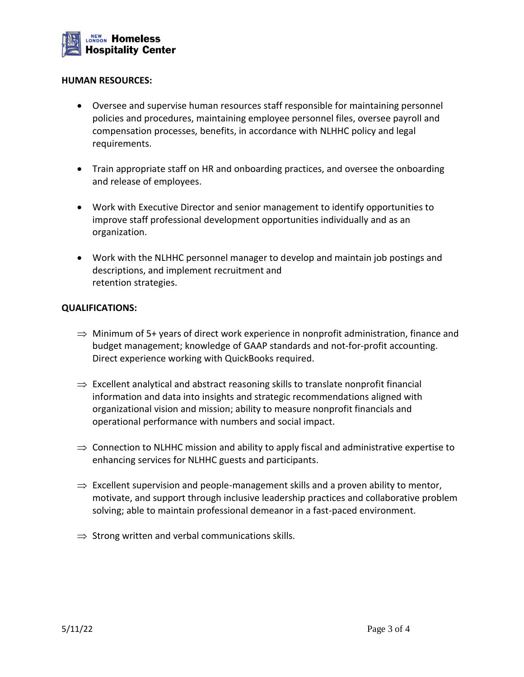

#### **HUMAN RESOURCES:**

- Oversee and supervise human resources staff responsible for maintaining personnel policies and procedures, maintaining employee personnel files, oversee payroll and compensation processes, benefits, in accordance with NLHHC policy and legal requirements.
- Train appropriate staff on HR and onboarding practices, and oversee the onboarding and release of employees.
- Work with Executive Director and senior management to identify opportunities to improve staff professional development opportunities individually and as an organization.
- Work with the NLHHC personnel manager to develop and maintain job postings and descriptions, and implement recruitment and retention strategies.

#### **QUALIFICATIONS:**

- $\Rightarrow$  Minimum of 5+ years of direct work experience in nonprofit administration, finance and budget management; knowledge of GAAP standards and not-for-profit accounting. Direct experience working with QuickBooks required.
- $\Rightarrow$  Excellent analytical and abstract reasoning skills to translate nonprofit financial information and data into insights and strategic recommendations aligned with organizational vision and mission; ability to measure nonprofit financials and operational performance with numbers and social impact.
- $\Rightarrow$  Connection to NLHHC mission and ability to apply fiscal and administrative expertise to enhancing services for NLHHC guests and participants.
- $\Rightarrow$  Excellent supervision and people-management skills and a proven ability to mentor, motivate, and support through inclusive leadership practices and collaborative problem solving; able to maintain professional demeanor in a fast-paced environment.
- $\Rightarrow$  Strong written and verbal communications skills.